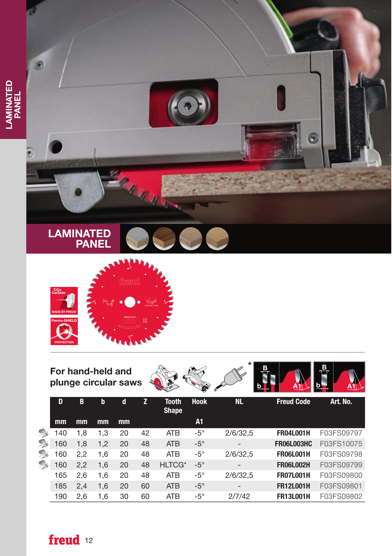



## For hand-held and plunge circular saws





|                     | D   | В   | b   | d             | z  | <b>Tooth</b><br><b>Shape</b> | <b>Hook</b> | <b>NL</b>       | <b>Freud Code</b> | Art. No.   |
|---------------------|-----|-----|-----|---------------|----|------------------------------|-------------|-----------------|-------------------|------------|
|                     | mm  | mm  | mm  | <sub>mm</sub> |    |                              | A1          |                 |                   |            |
| X                   | 140 | 1,8 | 1.3 | 20            | 42 | <b>ATB</b>                   | $-5^\circ$  | 2/6/32.5        | <b>FR04L001H</b>  | F03FS09797 |
| R<br><b>B</b><br>Q, | 160 | 1,8 | 1,2 | 20            | 48 | <b>ATB</b>                   | $-5^\circ$  |                 | <b>FR06L003HC</b> | F03FS10075 |
|                     | 160 | 2.2 | 1.6 | 20            | 48 | <b>ATB</b>                   | $-5^\circ$  | 2/6/32,5        | <b>FR06L001H</b>  | F03FS09798 |
|                     | 160 | 2,2 | 1,6 | 20            | 48 | <b>HLTCG*</b>                | $-5^\circ$  |                 | <b>FR06L002H</b>  | F03FS09799 |
|                     | 165 | 2.6 | 1.6 | 20            | 48 | <b>ATB</b>                   | $-5^\circ$  | 2/6/32,5        | <b>FR07L001H</b>  | F03FS09800 |
|                     | 185 | 2,4 | 1,6 | 20            | 60 | <b>ATB</b>                   | $-5^\circ$  | $\qquad \qquad$ | <b>FR12L001H</b>  | F03FS09801 |
|                     | 190 | 2,6 | 1,6 | 30            | 60 | <b>ATB</b>                   | $-5^\circ$  | 2/7/42          | <b>FR13L001H</b>  | F03FS09802 |

## freud 12